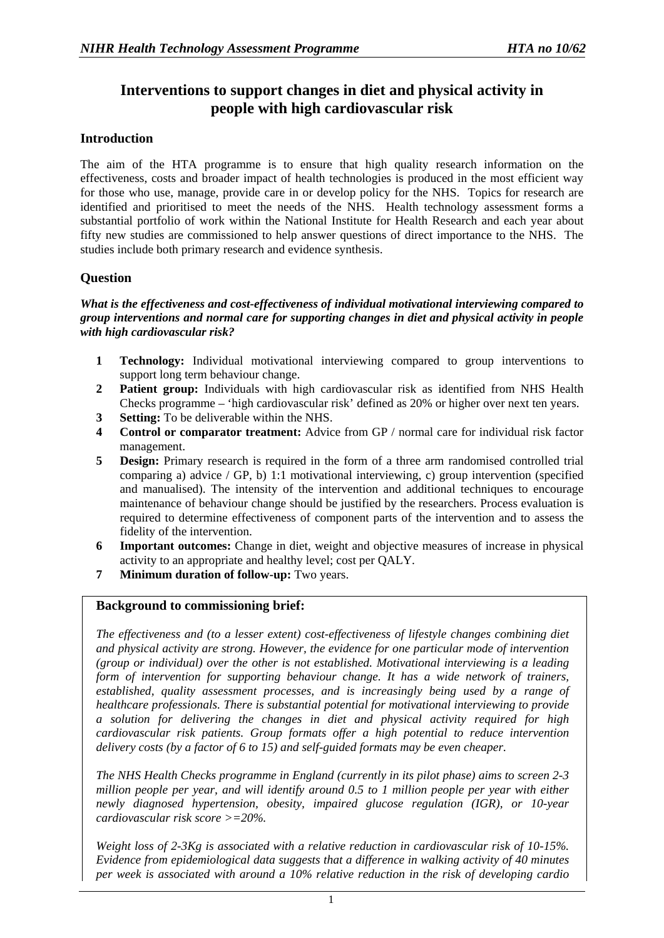# **Interventions to support changes in diet and physical activity in people with high cardiovascular risk**

## **Introduction**

The aim of the HTA programme is to ensure that high quality research information on the effectiveness, costs and broader impact of health technologies is produced in the most efficient way for those who use, manage, provide care in or develop policy for the NHS. Topics for research are identified and prioritised to meet the needs of the NHS. Health technology assessment forms a substantial portfolio of work within the National Institute for Health Research and each year about fifty new studies are commissioned to help answer questions of direct importance to the NHS. The studies include both primary research and evidence synthesis.

## **Question**

#### *What is the effectiveness and cost-effectiveness of individual motivational interviewing compared to group interventions and normal care for supporting changes in diet and physical activity in people with high cardiovascular risk?*

- **1 Technology:** Individual motivational interviewing compared to group interventions to support long term behaviour change.
- **2 Patient group:** Individuals with high cardiovascular risk as identified from NHS Health Checks programme – 'high cardiovascular risk' defined as 20% or higher over next ten years.
- **3 Setting:** To be deliverable within the NHS.
- **4 Control or comparator treatment:** Advice from GP / normal care for individual risk factor management.
- **5 Design:** Primary research is required in the form of a three arm randomised controlled trial comparing a) advice  $/$  GP, b) 1:1 motivational interviewing, c) group intervention (specified and manualised). The intensity of the intervention and additional techniques to encourage maintenance of behaviour change should be justified by the researchers. Process evaluation is required to determine effectiveness of component parts of the intervention and to assess the fidelity of the intervention.
- **6 Important outcomes:** Change in diet, weight and objective measures of increase in physical activity to an appropriate and healthy level; cost per QALY.
- **7 Minimum duration of follow-up:** Two years.

## **Background to commissioning brief:**

*The effectiveness and (to a lesser extent) cost-effectiveness of lifestyle changes combining diet and physical activity are strong. However, the evidence for one particular mode of intervention (group or individual) over the other is not established. Motivational interviewing is a leading form of intervention for supporting behaviour change. It has a wide network of trainers, established, quality assessment processes, and is increasingly being used by a range of healthcare professionals. There is substantial potential for motivational interviewing to provide a solution for delivering the changes in diet and physical activity required for high cardiovascular risk patients. Group formats offer a high potential to reduce intervention delivery costs (by a factor of 6 to 15) and self-guided formats may be even cheaper.* 

*The NHS Health Checks programme in England (currently in its pilot phase) aims to screen 2-3 million people per year, and will identify around 0.5 to 1 million people per year with either newly diagnosed hypertension, obesity, impaired glucose regulation (IGR), or 10-year cardiovascular risk score >=20%.* 

*Weight loss of 2-3Kg is associated with a relative reduction in cardiovascular risk of 10-15%. Evidence from epidemiological data suggests that a difference in walking activity of 40 minutes per week is associated with around a 10% relative reduction in the risk of developing cardio*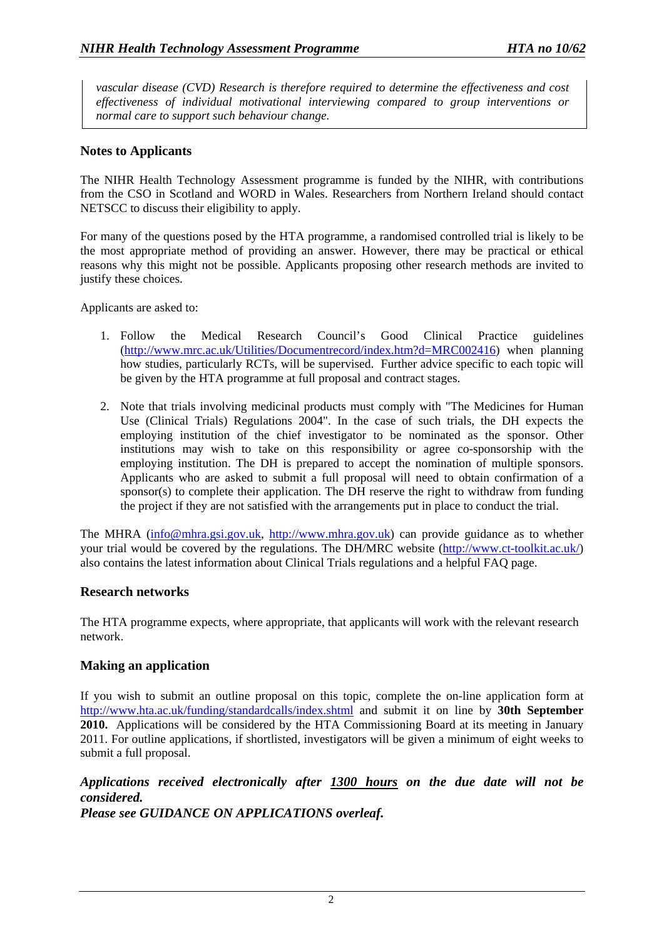*vascular disease (CVD) Research is therefore required to determine the effectiveness and cost effectiveness of individual motivational interviewing compared to group interventions or normal care to support such behaviour change.* 

### **Notes to Applicants**

The NIHR Health Technology Assessment programme is funded by the NIHR, with contributions from the CSO in Scotland and WORD in Wales. Researchers from Northern Ireland should contact NETSCC to discuss their eligibility to apply.

For many of the questions posed by the HTA programme, a randomised controlled trial is likely to be the most appropriate method of providing an answer. However, there may be practical or ethical reasons why this might not be possible. Applicants proposing other research methods are invited to justify these choices.

Applicants are asked to:

- 1. Follow the Medical Research Council's Good Clinical Practice guidelines ([http://www.mrc.ac.uk/Utilities/Documentrecord/index.htm?d=MRC002416\)](http://www.mrc.ac.uk/Utilities/Documentrecord/index.htm?d=MRC002416) when planning how studies, particularly RCTs, will be supervised. Further advice specific to each topic will be given by the HTA programme at full proposal and contract stages.
- 2. Note that trials involving medicinal products must comply with "The Medicines for Human Use (Clinical Trials) Regulations 2004". In the case of such trials, the DH expects the employing institution of the chief investigator to be nominated as the sponsor. Other institutions may wish to take on this responsibility or agree co-sponsorship with the employing institution. The DH is prepared to accept the nomination of multiple sponsors. Applicants who are asked to submit a full proposal will need to obtain confirmation of a sponsor(s) to complete their application. The DH reserve the right to withdraw from funding the project if they are not satisfied with the arrangements put in place to conduct the trial.

The MHRA [\(info@mhra.gsi.gov.uk](mailto:info@mhra.gsi.gov.uk), [http://www.mhra.gov.uk](http://www.mhra.gov.uk/)) can provide guidance as to whether your trial would be covered by the regulations. The DH/MRC website [\(http://www.ct-toolkit.ac.uk/\)](http://www.ct-toolkit.ac.uk/) also contains the latest information about Clinical Trials regulations and a helpful FAQ page.

### **Research networks**

The HTA programme expects, where appropriate, that applicants will work with the relevant research network.

## **Making an application**

If you wish to submit an outline proposal on this topic, complete the on-line application form at http://www.hta.ac.uk/funding/standardcalls/index.shtml and submit it on line by **30th September 2010.**Applications will be considered by the HTA Commissioning Board at its meeting in January 2011. For outline applications, if shortlisted, investigators will be given a minimum of eight weeks to submit a full proposal.

*Applications received electronically after 1300 hours on the due date will not be considered.*

*Please see GUIDANCE ON APPLICATIONS overleaf.*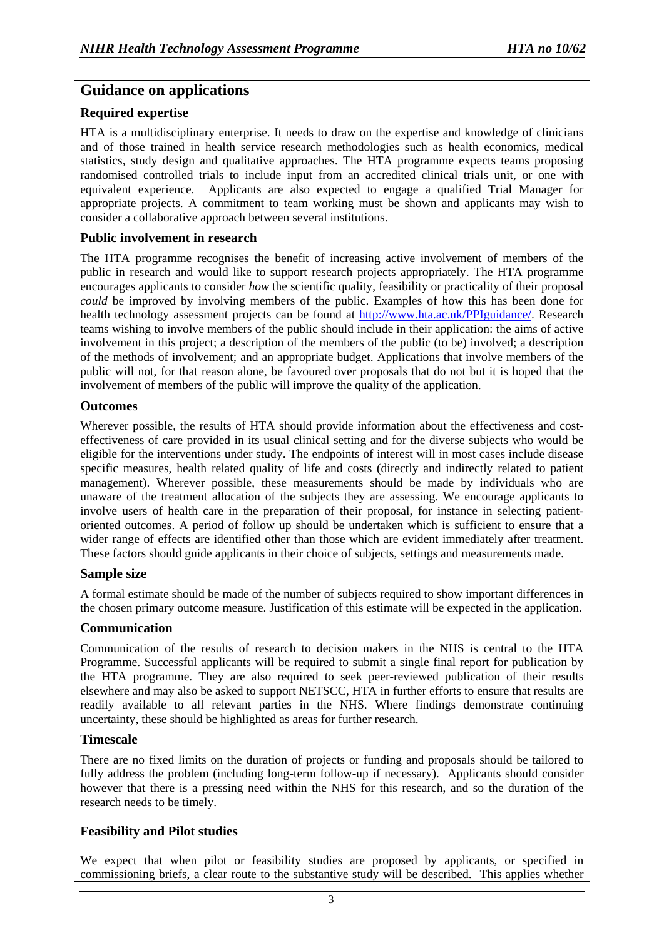## **Guidance on applications**

## **Required expertise**

HTA is a multidisciplinary enterprise. It needs to draw on the expertise and knowledge of clinicians and of those trained in health service research methodologies such as health economics, medical statistics, study design and qualitative approaches. The HTA programme expects teams proposing randomised controlled trials to include input from an accredited clinical trials unit, or one with equivalent experience. Applicants are also expected to engage a qualified Trial Manager for appropriate projects. A commitment to team working must be shown and applicants may wish to consider a collaborative approach between several institutions.

## **Public involvement in research**

The HTA programme recognises the benefit of increasing active involvement of members of the public in research and would like to support research projects appropriately. The HTA programme encourages applicants to consider *how* the scientific quality, feasibility or practicality of their proposal *could* be improved by involving members of the public. Examples of how this has been done for health technology assessment projects can be found at [http://www.hta.ac.uk/PPIguidance/.](http://www.hta.ac.uk/PPIguidance/) Research teams wishing to involve members of the public should include in their application: the aims of active involvement in this project; a description of the members of the public (to be) involved; a description of the methods of involvement; and an appropriate budget. Applications that involve members of the public will not, for that reason alone, be favoured over proposals that do not but it is hoped that the involvement of members of the public will improve the quality of the application.

### **Outcomes**

Wherever possible, the results of HTA should provide information about the effectiveness and costeffectiveness of care provided in its usual clinical setting and for the diverse subjects who would be eligible for the interventions under study. The endpoints of interest will in most cases include disease specific measures, health related quality of life and costs (directly and indirectly related to patient management). Wherever possible, these measurements should be made by individuals who are unaware of the treatment allocation of the subjects they are assessing. We encourage applicants to involve users of health care in the preparation of their proposal, for instance in selecting patientoriented outcomes. A period of follow up should be undertaken which is sufficient to ensure that a wider range of effects are identified other than those which are evident immediately after treatment. These factors should guide applicants in their choice of subjects, settings and measurements made.

## **Sample size**

A formal estimate should be made of the number of subjects required to show important differences in the chosen primary outcome measure. Justification of this estimate will be expected in the application.

### **Communication**

Communication of the results of research to decision makers in the NHS is central to the HTA Programme. Successful applicants will be required to submit a single final report for publication by the HTA programme. They are also required to seek peer-reviewed publication of their results elsewhere and may also be asked to support NETSCC, HTA in further efforts to ensure that results are readily available to all relevant parties in the NHS. Where findings demonstrate continuing uncertainty, these should be highlighted as areas for further research.

### **Timescale**

There are no fixed limits on the duration of projects or funding and proposals should be tailored to fully address the problem (including long-term follow-up if necessary). Applicants should consider however that there is a pressing need within the NHS for this research, and so the duration of the research needs to be timely.

## **Feasibility and Pilot studies**

We expect that when pilot or feasibility studies are proposed by applicants, or specified in commissioning briefs, a clear route to the substantive study will be described. This applies whether